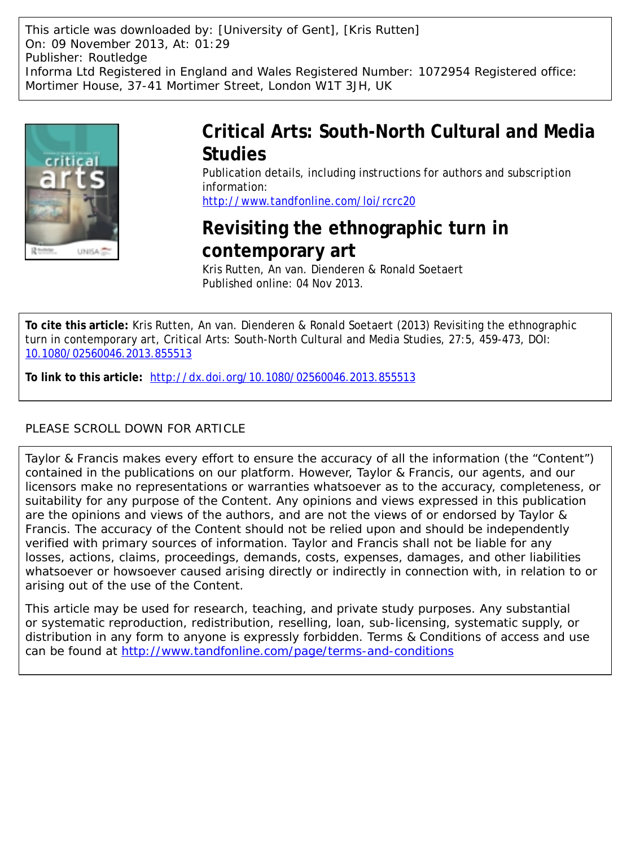This article was downloaded by: [University of Gent], [Kris Rutten] On: 09 November 2013, At: 01:29 Publisher: Routledge Informa Ltd Registered in England and Wales Registered Number: 1072954 Registered office: Mortimer House, 37-41 Mortimer Street, London W1T 3JH, UK



# **Critical Arts: South-North Cultural and Media Studies**

Publication details, including instructions for authors and subscription information:

<http://www.tandfonline.com/loi/rcrc20>

# **Revisiting the ethnographic turn in contemporary art**

Kris Rutten, An van. Dienderen & Ronald Soetaert Published online: 04 Nov 2013.

**To cite this article:** Kris Rutten, An van. Dienderen & Ronald Soetaert (2013) Revisiting the ethnographic turn in contemporary art, Critical Arts: South-North Cultural and Media Studies, 27:5, 459-473, DOI: [10.1080/02560046.2013.855513](http://www.tandfonline.com/action/showCitFormats?doi=10.1080/02560046.2013.855513)

**To link to this article:** <http://dx.doi.org/10.1080/02560046.2013.855513>

## PLEASE SCROLL DOWN FOR ARTICLE

Taylor & Francis makes every effort to ensure the accuracy of all the information (the "Content") contained in the publications on our platform. However, Taylor & Francis, our agents, and our licensors make no representations or warranties whatsoever as to the accuracy, completeness, or suitability for any purpose of the Content. Any opinions and views expressed in this publication are the opinions and views of the authors, and are not the views of or endorsed by Taylor & Francis. The accuracy of the Content should not be relied upon and should be independently verified with primary sources of information. Taylor and Francis shall not be liable for any losses, actions, claims, proceedings, demands, costs, expenses, damages, and other liabilities whatsoever or howsoever caused arising directly or indirectly in connection with, in relation to or arising out of the use of the Content.

This article may be used for research, teaching, and private study purposes. Any substantial or systematic reproduction, redistribution, reselling, loan, sub-licensing, systematic supply, or distribution in any form to anyone is expressly forbidden. Terms & Conditions of access and use can be found at <http://www.tandfonline.com/page/terms-and-conditions>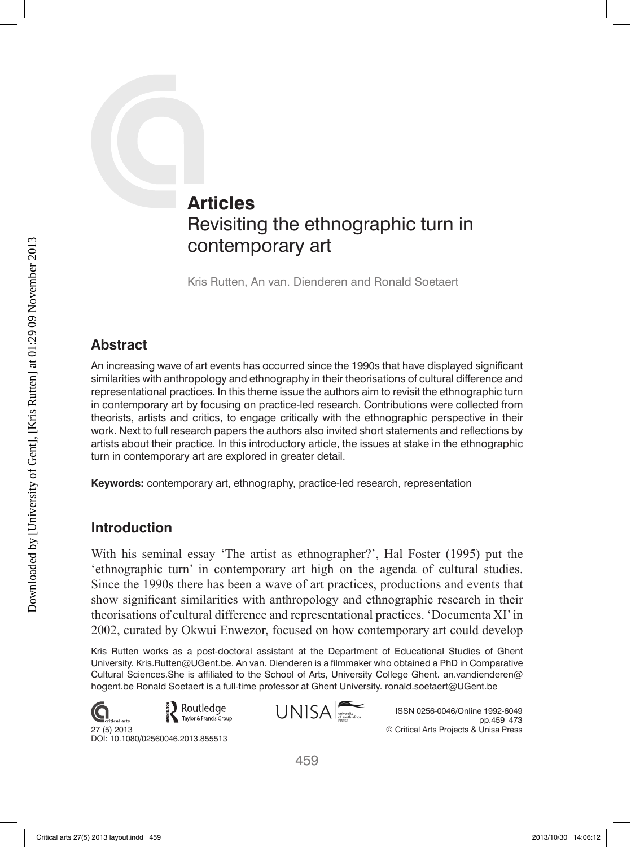# **Articles** Revisiting the ethnographic turn in contemporary art

Kris Rutten, An van. Dienderen and Ronald Soetaert

## **Abstract**

An increasing wave of art events has occurred since the 1990s that have displayed significant similarities with anthropology and ethnography in their theorisations of cultural difference and representational practices. In this theme issue the authors aim to revisit the ethnographic turn in contemporary art by focusing on practice-led research. Contributions were collected from theorists, artists and critics, to engage critically with the ethnographic perspective in their work. Next to full research papers the authors also invited short statements and reflections by artists about their practice. In this introductory article, the issues at stake in the ethnographic turn in contemporary art are explored in greater detail.

**Keywords:** contemporary art, ethnography, practice-led research, representation

## **Introduction**

With his seminal essay 'The artist as ethnographer?', Hal Foster (1995) put the 'ethnographic turn' in contemporary art high on the agenda of cultural studies. Since the 1990s there has been a wave of art practices, productions and events that show significant similarities with anthropology and ethnographic research in their theorisations of cultural difference and representational practices. 'Documenta XI' in 2002, curated by Okwui Enwezor, focused on how contemporary art could develop

Kris Rutten works as a post-doctoral assistant at the Department of Educational Studies of Ghent University. Kris.Rutten@UGent.be. An van. Dienderen is a filmmaker who obtained a PhD in Comparative Cultural Sciences.She is affiliated to the School of Arts, University College Ghent. an.vandienderen@ hogent.be Ronald Soetaert is a full-time professor at Ghent University. ronald.soetaert@UGent.be

 $\sum_{\text{Baylor } \text{A Francis Group}}$ Q i<br>ritical arts 27 (5) 2013 © Critical Arts Projects & Unisa Press DOI: 10.1080/02560046.2013.855513



ISSN 0256-0046/Online 1992-6049 pp.459–473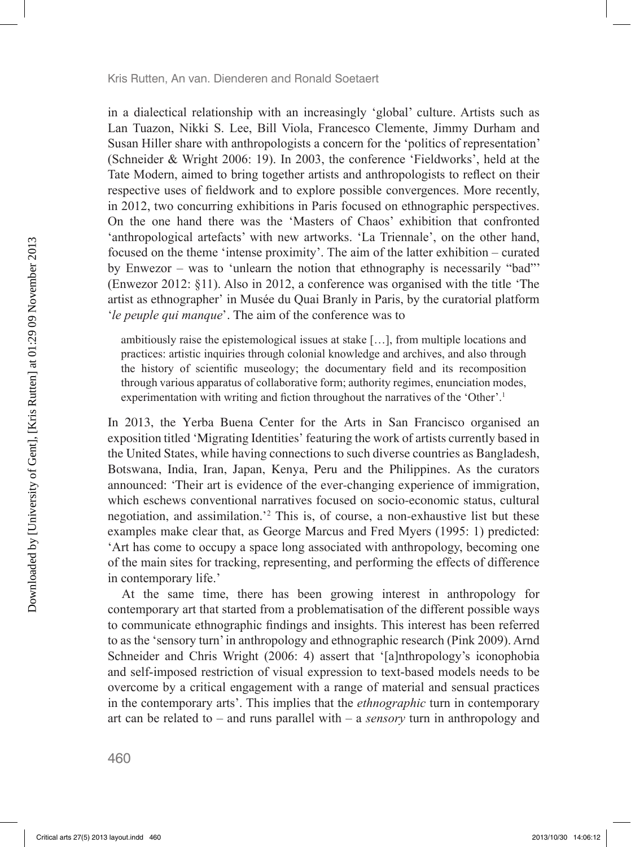in a dialectical relationship with an increasingly 'global' culture. Artists such as Lan Tuazon, Nikki S. Lee, Bill Viola, Francesco Clemente, Jimmy Durham and Susan Hiller share with anthropologists a concern for the 'politics of representation' (Schneider & Wright 2006: 19). In 2003, the conference 'Fieldworks', held at the Tate Modern, aimed to bring together artists and anthropologists to reflect on their respective uses of fieldwork and to explore possible convergences. More recently, in 2012, two concurring exhibitions in Paris focused on ethnographic perspectives. On the one hand there was the 'Masters of Chaos' exhibition that confronted 'anthropological artefacts' with new artworks. 'La Triennale', on the other hand, focused on the theme 'intense proximity'. The aim of the latter exhibition – curated by Enwezor – was to 'unlearn the notion that ethnography is necessarily "bad"' (Enwezor 2012: §11). Also in 2012, a conference was organised with the title 'The artist as ethnographer' in Musée du Quai Branly in Paris, by the curatorial platform '*le peuple qui manque*'. The aim of the conference was to

ambitiously raise the epistemological issues at stake […], from multiple locations and practices: artistic inquiries through colonial knowledge and archives, and also through the history of scientific museology; the documentary field and its recomposition through various apparatus of collaborative form; authority regimes, enunciation modes, experimentation with writing and fiction throughout the narratives of the 'Other'.<sup>1</sup>

In 2013, the Yerba Buena Center for the Arts in San Francisco organised an exposition titled 'Migrating Identities' featuring the work of artists currently based in the United States, while having connections to such diverse countries as Bangladesh, Botswana, India, Iran, Japan, Kenya, Peru and the Philippines. As the curators announced: 'Their art is evidence of the ever-changing experience of immigration, which eschews conventional narratives focused on socio-economic status, cultural negotiation, and assimilation.'2 This is, of course, a non-exhaustive list but these examples make clear that, as George Marcus and Fred Myers (1995: 1) predicted: 'Art has come to occupy a space long associated with anthropology, becoming one of the main sites for tracking, representing, and performing the effects of difference in contemporary life.'

At the same time, there has been growing interest in anthropology for contemporary art that started from a problematisation of the different possible ways to communicate ethnographic findings and insights. This interest has been referred to as the 'sensory turn' in anthropology and ethnographic research (Pink 2009). Arnd Schneider and Chris Wright (2006: 4) assert that '[a]nthropology's iconophobia and self-imposed restriction of visual expression to text-based models needs to be overcome by a critical engagement with a range of material and sensual practices in the contemporary arts'. This implies that the *ethnographic* turn in contemporary art can be related to – and runs parallel with – a *sensory* turn in anthropology and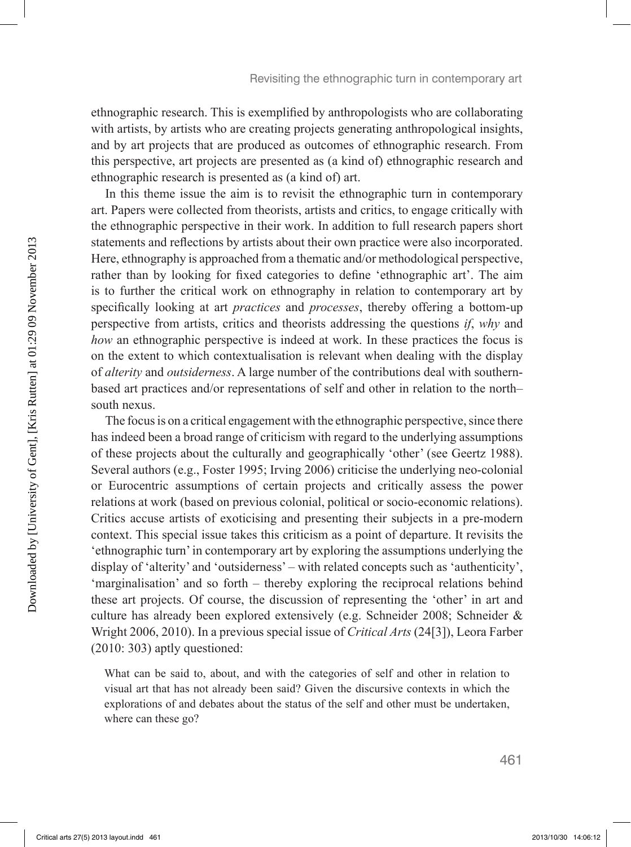ethnographic research. This is exemplified by anthropologists who are collaborating with artists, by artists who are creating projects generating anthropological insights, and by art projects that are produced as outcomes of ethnographic research. From this perspective, art projects are presented as (a kind of) ethnographic research and ethnographic research is presented as (a kind of) art.

In this theme issue the aim is to revisit the ethnographic turn in contemporary art. Papers were collected from theorists, artists and critics, to engage critically with the ethnographic perspective in their work. In addition to full research papers short statements and reflections by artists about their own practice were also incorporated. Here, ethnography is approached from a thematic and/or methodological perspective, rather than by looking for fixed categories to define 'ethnographic art'. The aim is to further the critical work on ethnography in relation to contemporary art by specifically looking at art *practices* and *processes*, thereby offering a bottom-up perspective from artists, critics and theorists addressing the questions *if*, *why* and *how* an ethnographic perspective is indeed at work. In these practices the focus is on the extent to which contextualisation is relevant when dealing with the display of *alterity* and *outsiderness*. A large number of the contributions deal with southernbased art practices and/or representations of self and other in relation to the north– south nexus.

The focus is on a critical engagement with the ethnographic perspective, since there has indeed been a broad range of criticism with regard to the underlying assumptions of these projects about the culturally and geographically 'other' (see Geertz 1988). Several authors (e.g., Foster 1995; Irving 2006) criticise the underlying neo-colonial or Eurocentric assumptions of certain projects and critically assess the power relations at work (based on previous colonial, political or socio-economic relations). Critics accuse artists of exoticising and presenting their subjects in a pre-modern context. This special issue takes this criticism as a point of departure. It revisits the 'ethnographic turn' in contemporary art by exploring the assumptions underlying the display of 'alterity' and 'outsiderness' – with related concepts such as 'authenticity', 'marginalisation' and so forth – thereby exploring the reciprocal relations behind these art projects. Of course, the discussion of representing the 'other' in art and culture has already been explored extensively (e.g. Schneider 2008; Schneider & Wright 2006, 2010). In a previous special issue of *Critical Arts* (24[3]), Leora Farber (2010: 303) aptly questioned:

What can be said to, about, and with the categories of self and other in relation to visual art that has not already been said? Given the discursive contexts in which the explorations of and debates about the status of the self and other must be undertaken, where can these go?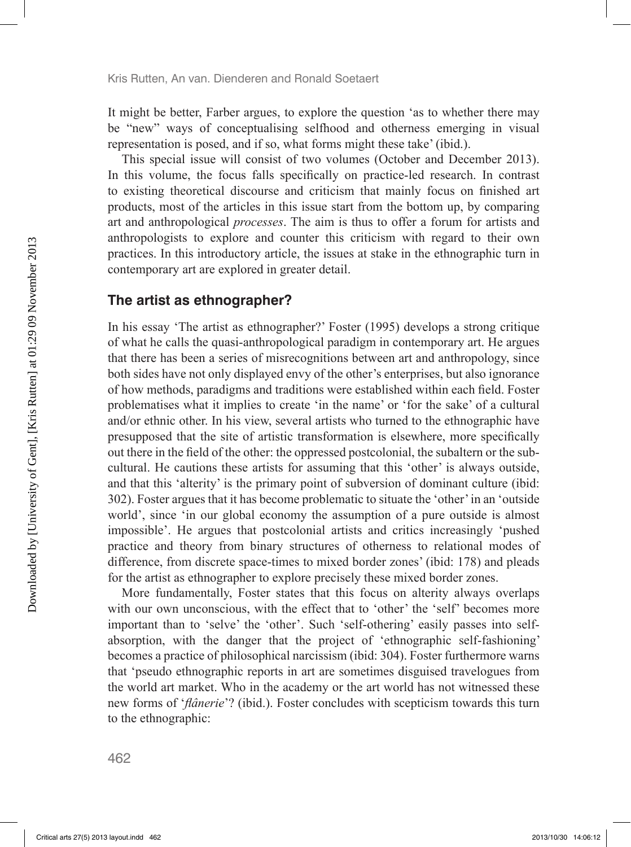It might be better, Farber argues, to explore the question 'as to whether there may be "new" ways of conceptualising selfhood and otherness emerging in visual representation is posed, and if so, what forms might these take' (ibid.).

This special issue will consist of two volumes (October and December 2013). In this volume, the focus falls specifically on practice-led research. In contrast to existing theoretical discourse and criticism that mainly focus on finished art products, most of the articles in this issue start from the bottom up, by comparing art and anthropological *processes*. The aim is thus to offer a forum for artists and anthropologists to explore and counter this criticism with regard to their own practices. In this introductory article, the issues at stake in the ethnographic turn in contemporary art are explored in greater detail.

#### **The artist as ethnographer?**

In his essay 'The artist as ethnographer?' Foster (1995) develops a strong critique of what he calls the quasi-anthropological paradigm in contemporary art. He argues that there has been a series of misrecognitions between art and anthropology, since both sides have not only displayed envy of the other's enterprises, but also ignorance of how methods, paradigms and traditions were established within each field. Foster problematises what it implies to create 'in the name' or 'for the sake' of a cultural and/or ethnic other. In his view, several artists who turned to the ethnographic have presupposed that the site of artistic transformation is elsewhere, more specifically out there in the field of the other: the oppressed postcolonial, the subaltern or the subcultural. He cautions these artists for assuming that this 'other' is always outside, and that this 'alterity' is the primary point of subversion of dominant culture (ibid: 302). Foster argues that it has become problematic to situate the 'other' in an 'outside world', since 'in our global economy the assumption of a pure outside is almost impossible'. He argues that postcolonial artists and critics increasingly 'pushed practice and theory from binary structures of otherness to relational modes of difference, from discrete space-times to mixed border zones' (ibid: 178) and pleads for the artist as ethnographer to explore precisely these mixed border zones.

More fundamentally, Foster states that this focus on alterity always overlaps with our own unconscious, with the effect that to 'other' the 'self' becomes more important than to 'selve' the 'other'. Such 'self-othering' easily passes into selfabsorption, with the danger that the project of 'ethnographic self-fashioning' becomes a practice of philosophical narcissism (ibid: 304). Foster furthermore warns that 'pseudo ethnographic reports in art are sometimes disguised travelogues from the world art market. Who in the academy or the art world has not witnessed these new forms of '*flânerie*'? (ibid.). Foster concludes with scepticism towards this turn to the ethnographic: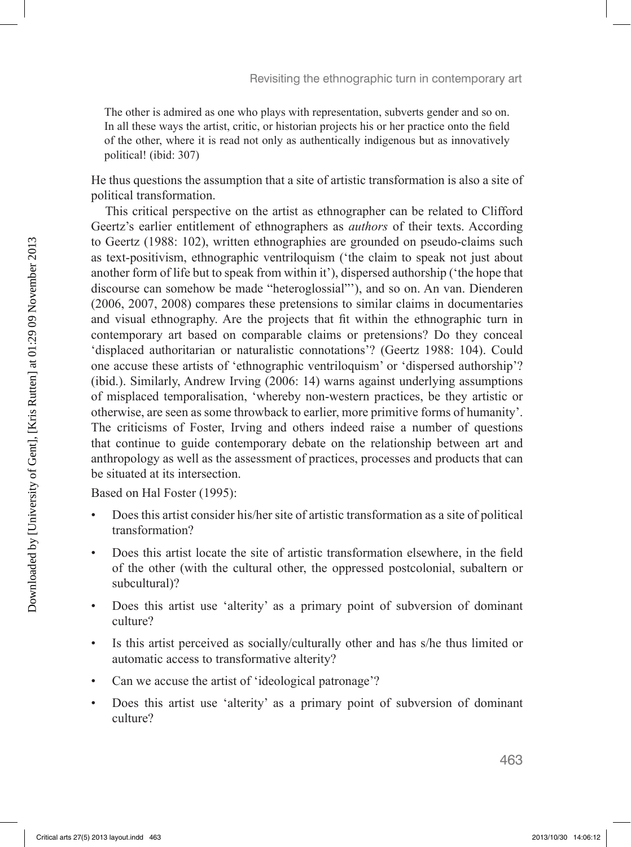The other is admired as one who plays with representation, subverts gender and so on. In all these ways the artist, critic, or historian projects his or her practice onto the field of the other, where it is read not only as authentically indigenous but as innovatively political! (ibid: 307)

He thus questions the assumption that a site of artistic transformation is also a site of political transformation.

This critical perspective on the artist as ethnographer can be related to Clifford Geertz's earlier entitlement of ethnographers as *authors* of their texts. According to Geertz (1988: 102), written ethnographies are grounded on pseudo-claims such as text-positivism, ethnographic ventriloquism ('the claim to speak not just about another form of life but to speak from within it'), dispersed authorship ('the hope that discourse can somehow be made "heteroglossial"'), and so on. An van. Dienderen (2006, 2007, 2008) compares these pretensions to similar claims in documentaries and visual ethnography. Are the projects that fit within the ethnographic turn in contemporary art based on comparable claims or pretensions? Do they conceal 'displaced authoritarian or naturalistic connotations'? (Geertz 1988: 104). Could one accuse these artists of 'ethnographic ventriloquism' or 'dispersed authorship'? (ibid.). Similarly, Andrew Irving (2006: 14) warns against underlying assumptions of misplaced temporalisation, 'whereby non-western practices, be they artistic or otherwise, are seen as some throwback to earlier, more primitive forms of humanity'. The criticisms of Foster, Irving and others indeed raise a number of questions that continue to guide contemporary debate on the relationship between art and anthropology as well as the assessment of practices, processes and products that can be situated at its intersection.

Based on Hal Foster (1995):

- Does this artist consider his/her site of artistic transformation as a site of political transformation?
- Does this artist locate the site of artistic transformation elsewhere, in the field of the other (with the cultural other, the oppressed postcolonial, subaltern or subcultural)?
- Does this artist use 'alterity' as a primary point of subversion of dominant culture?
- Is this artist perceived as socially/culturally other and has s/he thus limited or automatic access to transformative alterity?
- Can we accuse the artist of 'ideological patronage'?
- Does this artist use 'alterity' as a primary point of subversion of dominant culture?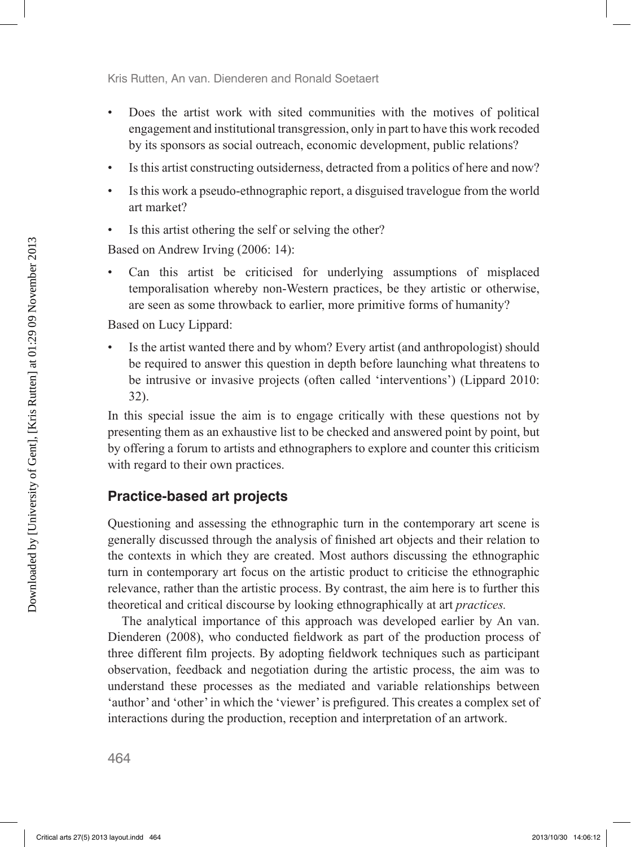- Does the artist work with sited communities with the motives of political engagement and institutional transgression, only in part to have this work recoded by its sponsors as social outreach, economic development, public relations?
- Is this artist constructing outsiderness, detracted from a politics of here and now?
- Is this work a pseudo-ethnographic report, a disguised travelogue from the world art market?
- Is this artist othering the self or selving the other?

Based on Andrew Irving (2006: 14):

Can this artist be criticised for underlying assumptions of misplaced temporalisation whereby non-Western practices, be they artistic or otherwise, are seen as some throwback to earlier, more primitive forms of humanity?

Based on Lucy Lippard:

Is the artist wanted there and by whom? Every artist (and anthropologist) should be required to answer this question in depth before launching what threatens to be intrusive or invasive projects (often called 'interventions') (Lippard 2010: 32).

In this special issue the aim is to engage critically with these questions not by presenting them as an exhaustive list to be checked and answered point by point, but by offering a forum to artists and ethnographers to explore and counter this criticism with regard to their own practices.

## **Practice-based art projects**

Questioning and assessing the ethnographic turn in the contemporary art scene is generally discussed through the analysis of finished art objects and their relation to the contexts in which they are created. Most authors discussing the ethnographic turn in contemporary art focus on the artistic product to criticise the ethnographic relevance, rather than the artistic process. By contrast, the aim here is to further this theoretical and critical discourse by looking ethnographically at art *practices.*

The analytical importance of this approach was developed earlier by An van. Dienderen (2008), who conducted fieldwork as part of the production process of three different film projects. By adopting fieldwork techniques such as participant observation, feedback and negotiation during the artistic process, the aim was to understand these processes as the mediated and variable relationships between 'author' and 'other' in which the 'viewer' is prefigured. This creates a complex set of interactions during the production, reception and interpretation of an artwork.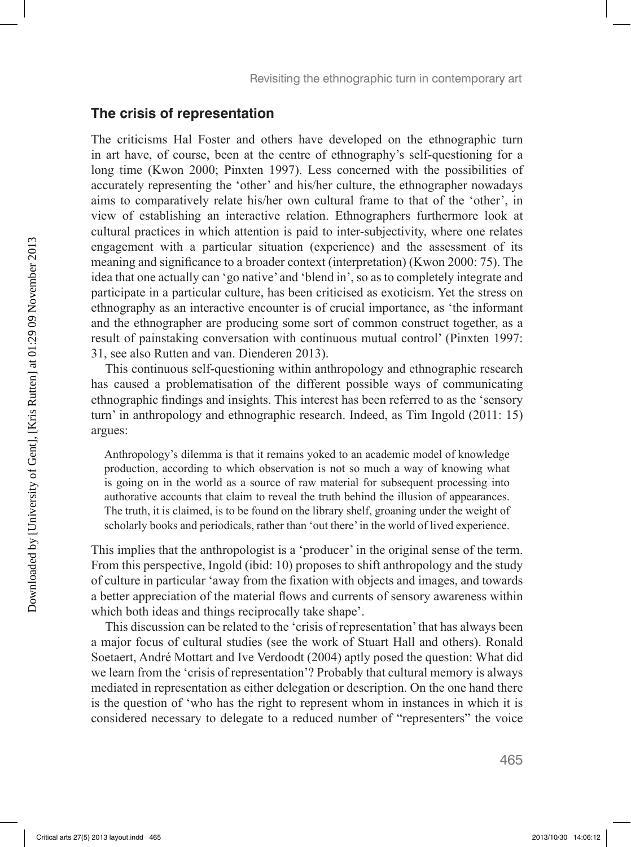#### **The crisis of representation**

The criticisms Hal Foster and others have developed on the ethnographic turn in art have, of course, been at the centre of ethnography's self-questioning for a long time (Kwon 2000; Pinxten 1997). Less concerned with the possibilities of accurately representing the 'other' and his/her culture, the ethnographer nowadays aims to comparatively relate his/her own cultural frame to that of the 'other', in view of establishing an interactive relation. Ethnographers furthermore look at cultural practices in which attention is paid to inter-subjectivity, where one relates engagement with a particular situation (experience) and the assessment of its meaning and significance to a broader context (interpretation) (Kwon 2000: 75). The idea that one actually can 'go native' and 'blend in', so as to completely integrate and participate in a particular culture, has been criticised as exoticism. Yet the stress on ethnography as an interactive encounter is of crucial importance, as 'the informant and the ethnographer are producing some sort of common construct together, as a result of painstaking conversation with continuous mutual control' (Pinxten 1997: 31, see also Rutten and van. Dienderen 2013).

This continuous self-questioning within anthropology and ethnographic research has caused a problematisation of the different possible ways of communicating ethnographic findings and insights. This interest has been referred to as the 'sensory turn' in anthropology and ethnographic research. Indeed, as Tim Ingold (2011: 15) argues:

Anthropology's dilemma is that it remains yoked to an academic model of knowledge production, according to which observation is not so much a way of knowing what is going on in the world as a source of raw material for subsequent processing into authorative accounts that claim to reveal the truth behind the illusion of appearances. The truth, it is claimed, is to be found on the library shelf, groaning under the weight of scholarly books and periodicals, rather than 'out there' in the world of lived experience.

This implies that the anthropologist is a 'producer' in the original sense of the term. From this perspective, Ingold (ibid: 10) proposes to shift anthropology and the study of culture in particular 'away from the fixation with objects and images, and towards a better appreciation of the material flows and currents of sensory awareness within which both ideas and things reciprocally take shape'.

This discussion can be related to the 'crisis of representation' that has always been a major focus of cultural studies (see the work of Stuart Hall and others). Ronald Soetaert, André Mottart and Ive Verdoodt (2004) aptly posed the question: What did we learn from the 'crisis of representation'? Probably that cultural memory is always mediated in representation as either delegation or description. On the one hand there is the question of 'who has the right to represent whom in instances in which it is considered necessary to delegate to a reduced number of "representers" the voice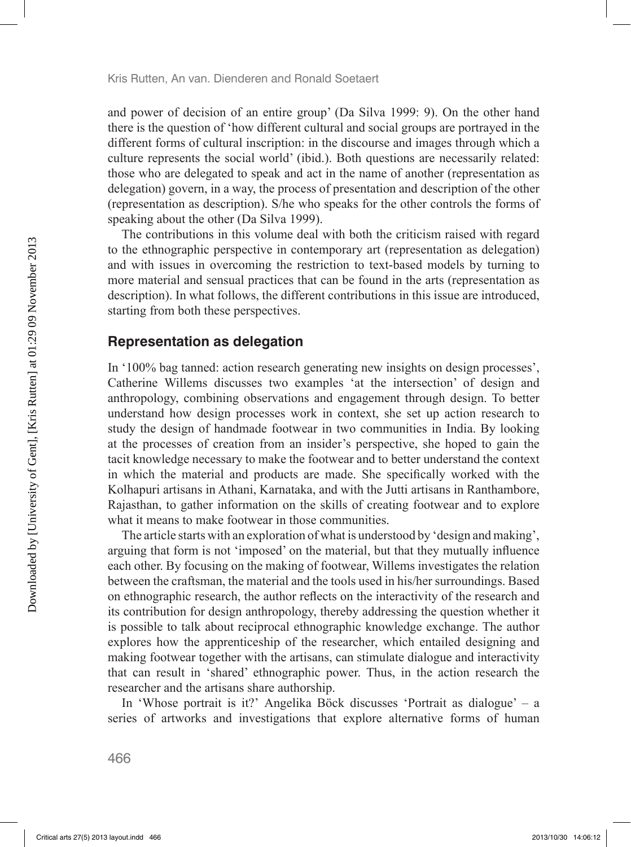and power of decision of an entire group' (Da Silva 1999: 9). On the other hand there is the question of 'how different cultural and social groups are portrayed in the different forms of cultural inscription: in the discourse and images through which a culture represents the social world' (ibid.). Both questions are necessarily related: those who are delegated to speak and act in the name of another (representation as delegation) govern, in a way, the process of presentation and description of the other (representation as description). S/he who speaks for the other controls the forms of speaking about the other (Da Silva 1999).

The contributions in this volume deal with both the criticism raised with regard to the ethnographic perspective in contemporary art (representation as delegation) and with issues in overcoming the restriction to text-based models by turning to more material and sensual practices that can be found in the arts (representation as description). In what follows, the different contributions in this issue are introduced, starting from both these perspectives.

## **Representation as delegation**

In '100% bag tanned: action research generating new insights on design processes', Catherine Willems discusses two examples 'at the intersection' of design and anthropology, combining observations and engagement through design. To better understand how design processes work in context, she set up action research to study the design of handmade footwear in two communities in India. By looking at the processes of creation from an insider's perspective, she hoped to gain the tacit knowledge necessary to make the footwear and to better understand the context in which the material and products are made. She specifically worked with the Kolhapuri artisans in Athani, Karnataka, and with the Jutti artisans in Ranthambore, Rajasthan, to gather information on the skills of creating footwear and to explore what it means to make footwear in those communities.

The article starts with an exploration of what is understood by 'design and making', arguing that form is not 'imposed' on the material, but that they mutually influence each other. By focusing on the making of footwear, Willems investigates the relation between the craftsman, the material and the tools used in his/her surroundings. Based on ethnographic research, the author reflects on the interactivity of the research and its contribution for design anthropology, thereby addressing the question whether it is possible to talk about reciprocal ethnographic knowledge exchange. The author explores how the apprenticeship of the researcher, which entailed designing and making footwear together with the artisans, can stimulate dialogue and interactivity that can result in 'shared' ethnographic power. Thus, in the action research the researcher and the artisans share authorship.

In 'Whose portrait is it?' Angelika Böck discusses 'Portrait as dialogue' – a series of artworks and investigations that explore alternative forms of human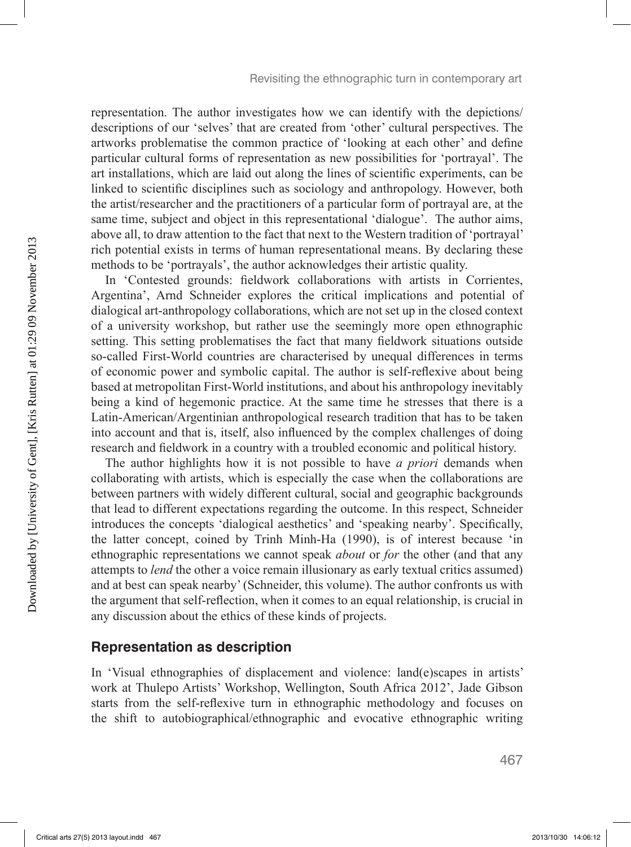representation. The author investigates how we can identify with the depictions/ descriptions of our 'selves' that are created from 'other' cultural perspectives. The artworks problematise the common practice of 'looking at each other' and define particular cultural forms of representation as new possibilities for 'portrayal'. The art installations, which are laid out along the lines of scientific experiments, can be linked to scientific disciplines such as sociology and anthropology. However, both the artist/researcher and the practitioners of a particular form of portrayal are, at the same time, subject and object in this representational 'dialogue'. The author aims, above all, to draw attention to the fact that next to the Western tradition of 'portrayal' rich potential exists in terms of human representational means. By declaring these methods to be 'portrayals', the author acknowledges their artistic quality.

In 'Contested grounds: fieldwork collaborations with artists in Corrientes, Argentina', Arnd Schneider explores the critical implications and potential of dialogical art-anthropology collaborations, which are not set up in the closed context of a university workshop, but rather use the seemingly more open ethnographic setting. This setting problematises the fact that many fieldwork situations outside so-called First-World countries are characterised by unequal differences in terms of economic power and symbolic capital. The author is self-reflexive about being based at metropolitan First-World institutions, and about his anthropology inevitably being a kind of hegemonic practice. At the same time he stresses that there is a Latin-American/Argentinian anthropological research tradition that has to be taken into account and that is, itself, also influenced by the complex challenges of doing research and fieldwork in a country with a troubled economic and political history.

The author highlights how it is not possible to have *a priori* demands when collaborating with artists, which is especially the case when the collaborations are between partners with widely different cultural, social and geographic backgrounds that lead to different expectations regarding the outcome. In this respect, Schneider introduces the concepts 'dialogical aesthetics' and 'speaking nearby'. Specifically, the latter concept, coined by Trinh Minh-Ha (1990), is of interest because 'in ethnographic representations we cannot speak *about* or *for* the other (and that any attempts to *lend* the other a voice remain illusionary as early textual critics assumed) and at best can speak nearby' (Schneider, this volume). The author confronts us with the argument that self-reflection, when it comes to an equal relationship, is crucial in any discussion about the ethics of these kinds of projects.

#### **Representation as description**

In 'Visual ethnographies of displacement and violence: land(e)scapes in artists' work at Thulepo Artists' Workshop, Wellington, South Africa 2012', Jade Gibson starts from the self-reflexive turn in ethnographic methodology and focuses on the shift to autobiographical/ethnographic and evocative ethnographic writing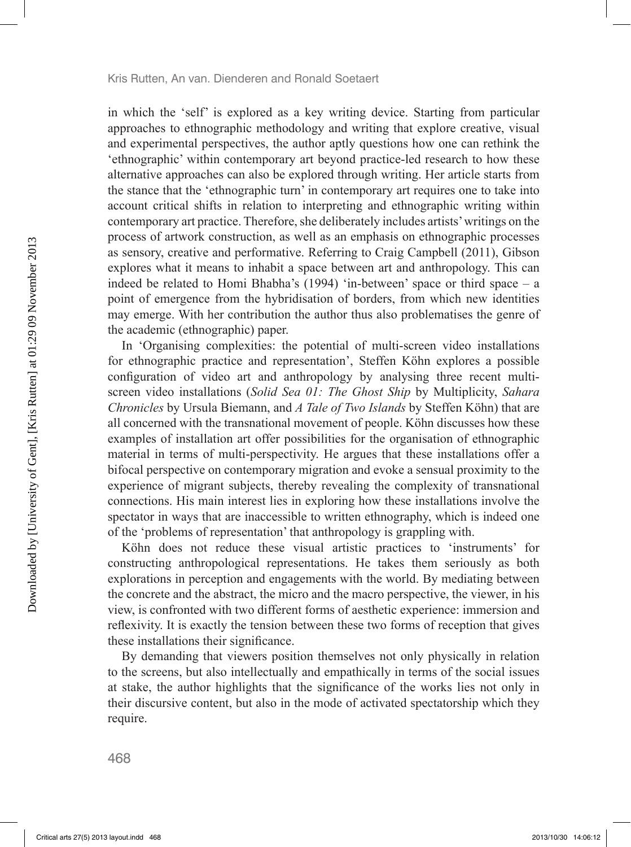in which the 'self' is explored as a key writing device. Starting from particular approaches to ethnographic methodology and writing that explore creative, visual and experimental perspectives, the author aptly questions how one can rethink the 'ethnographic' within contemporary art beyond practice-led research to how these alternative approaches can also be explored through writing. Her article starts from the stance that the 'ethnographic turn' in contemporary art requires one to take into account critical shifts in relation to interpreting and ethnographic writing within contemporary art practice. Therefore, she deliberately includes artists' writings on the process of artwork construction, as well as an emphasis on ethnographic processes as sensory, creative and performative. Referring to Craig Campbell (2011), Gibson explores what it means to inhabit a space between art and anthropology. This can indeed be related to Homi Bhabha's (1994) 'in-between' space or third space – a point of emergence from the hybridisation of borders, from which new identities may emerge. With her contribution the author thus also problematises the genre of the academic (ethnographic) paper.

In 'Organising complexities: the potential of multi-screen video installations for ethnographic practice and representation', Steffen Köhn explores a possible configuration of video art and anthropology by analysing three recent multiscreen video installations (*Solid Sea 01: The Ghost Ship* by Multiplicity, *Sahara Chronicles* by Ursula Biemann, and *A Tale of Two Islands* by Steffen Köhn) that are all concerned with the transnational movement of people. Köhn discusses how these examples of installation art offer possibilities for the organisation of ethnographic material in terms of multi-perspectivity. He argues that these installations offer a bifocal perspective on contemporary migration and evoke a sensual proximity to the experience of migrant subjects, thereby revealing the complexity of transnational connections. His main interest lies in exploring how these installations involve the spectator in ways that are inaccessible to written ethnography, which is indeed one of the 'problems of representation' that anthropology is grappling with.

Köhn does not reduce these visual artistic practices to 'instruments' for constructing anthropological representations. He takes them seriously as both explorations in perception and engagements with the world. By mediating between the concrete and the abstract, the micro and the macro perspective, the viewer, in his view, is confronted with two different forms of aesthetic experience: immersion and reflexivity. It is exactly the tension between these two forms of reception that gives these installations their significance.

By demanding that viewers position themselves not only physically in relation to the screens, but also intellectually and empathically in terms of the social issues at stake, the author highlights that the significance of the works lies not only in their discursive content, but also in the mode of activated spectatorship which they require.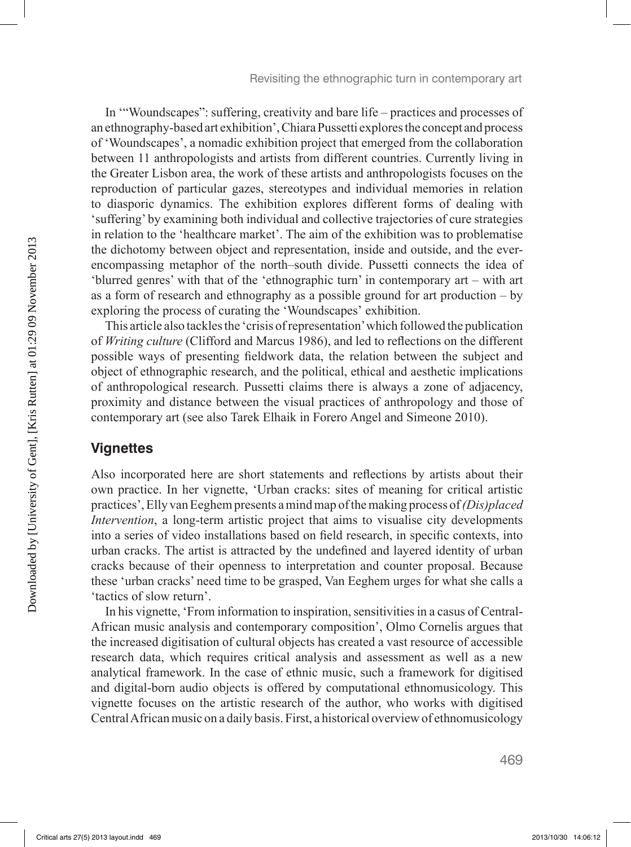In '"Woundscapes": suffering, creativity and bare life – practices and processes of an ethnography-based art exhibition',Chiara Pussetti explores the concept and process of 'Woundscapes', a nomadic exhibition project that emerged from the collaboration between 11 anthropologists and artists from different countries. Currently living in the Greater Lisbon area, the work of these artists and anthropologists focuses on the reproduction of particular gazes, stereotypes and individual memories in relation to diasporic dynamics. The exhibition explores different forms of dealing with 'suffering' by examining both individual and collective trajectories of cure strategies in relation to the 'healthcare market'. The aim of the exhibition was to problematise the dichotomy between object and representation, inside and outside, and the everencompassing metaphor of the north–south divide. Pussetti connects the idea of 'blurred genres' with that of the 'ethnographic turn' in contemporary art – with art as a form of research and ethnography as a possible ground for art production – by exploring the process of curating the 'Woundscapes' exhibition.

This article also tackles the 'crisis of representation' which followed the publication of *Writing culture* (Clifford and Marcus 1986), and led to reflections on the different possible ways of presenting fieldwork data, the relation between the subject and object of ethnographic research, and the political, ethical and aesthetic implications of anthropological research. Pussetti claims there is always a zone of adjacency, proximity and distance between the visual practices of anthropology and those of contemporary art (see also Tarek Elhaik in Forero Angel and Simeone 2010).

## **Vignettes**

Also incorporated here are short statements and reflections by artists about their own practice. In her vignette, 'Urban cracks: sites of meaning for critical artistic practices',Elly van Eeghem presents a mind map of the making process of *(Dis)placed Intervention*, a long-term artistic project that aims to visualise city developments into a series of video installations based on field research, in specific contexts, into urban cracks. The artist is attracted by the undefined and layered identity of urban cracks because of their openness to interpretation and counter proposal. Because these 'urban cracks' need time to be grasped, Van Eeghem urges for what she calls a 'tactics of slow return'.

In his vignette, 'From information to inspiration, sensitivities in a casus of Central-African music analysis and contemporary composition', Olmo Cornelis argues that the increased digitisation of cultural objects has created a vast resource of accessible research data, which requires critical analysis and assessment as well as a new analytical framework. In the case of ethnic music, such a framework for digitised and digital-born audio objects is offered by computational ethnomusicology. This vignette focuses on the artistic research of the author, who works with digitised Central African music on a daily basis. First, a historical overview of ethnomusicology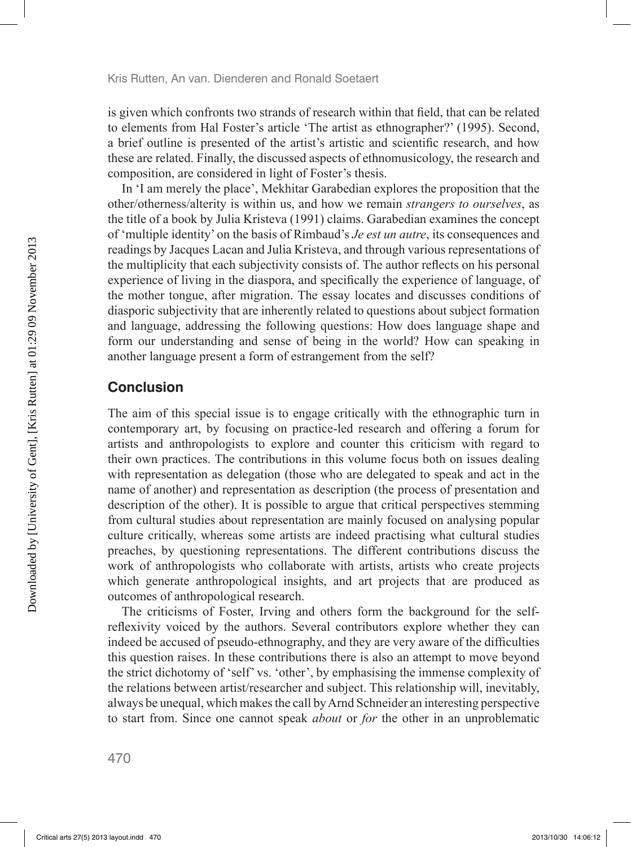is given which confronts two strands of research within that field, that can be related to elements from Hal Foster's article 'The artist as ethnographer?' (1995). Second, a brief outline is presented of the artist's artistic and scientific research, and how these are related. Finally, the discussed aspects of ethnomusicology, the research and composition, are considered in light of Foster's thesis.

In 'I am merely the place', Mekhitar Garabedian explores the proposition that the other/otherness/alterity is within us, and how we remain *strangers to ourselves*, as the title of a book by Julia Kristeva (1991) claims. Garabedian examines the concept of 'multiple identity' on the basis of Rimbaud's *Je est un autre*, its consequences and readings by Jacques Lacan and Julia Kristeva, and through various representations of the multiplicity that each subjectivity consists of. The author reflects on his personal experience of living in the diaspora, and specifically the experience of language, of the mother tongue, after migration. The essay locates and discusses conditions of diasporic subjectivity that are inherently related to questions about subject formation and language, addressing the following questions: How does language shape and form our understanding and sense of being in the world? How can speaking in another language present a form of estrangement from the self?

## **Conclusion**

The aim of this special issue is to engage critically with the ethnographic turn in contemporary art, by focusing on practice-led research and offering a forum for artists and anthropologists to explore and counter this criticism with regard to their own practices. The contributions in this volume focus both on issues dealing with representation as delegation (those who are delegated to speak and act in the name of another) and representation as description (the process of presentation and description of the other). It is possible to argue that critical perspectives stemming from cultural studies about representation are mainly focused on analysing popular culture critically, whereas some artists are indeed practising what cultural studies preaches, by questioning representations. The different contributions discuss the work of anthropologists who collaborate with artists, artists who create projects which generate anthropological insights, and art projects that are produced as outcomes of anthropological research.

The criticisms of Foster, Irving and others form the background for the selfreflexivity voiced by the authors. Several contributors explore whether they can indeed be accused of pseudo-ethnography, and they are very aware of the difficulties this question raises. In these contributions there is also an attempt to move beyond the strict dichotomy of 'self' vs. 'other', by emphasising the immense complexity of the relations between artist/researcher and subject. This relationship will, inevitably, always be unequal, which makes the call by Arnd Schneider an interesting perspective to start from. Since one cannot speak *about* or *for* the other in an unproblematic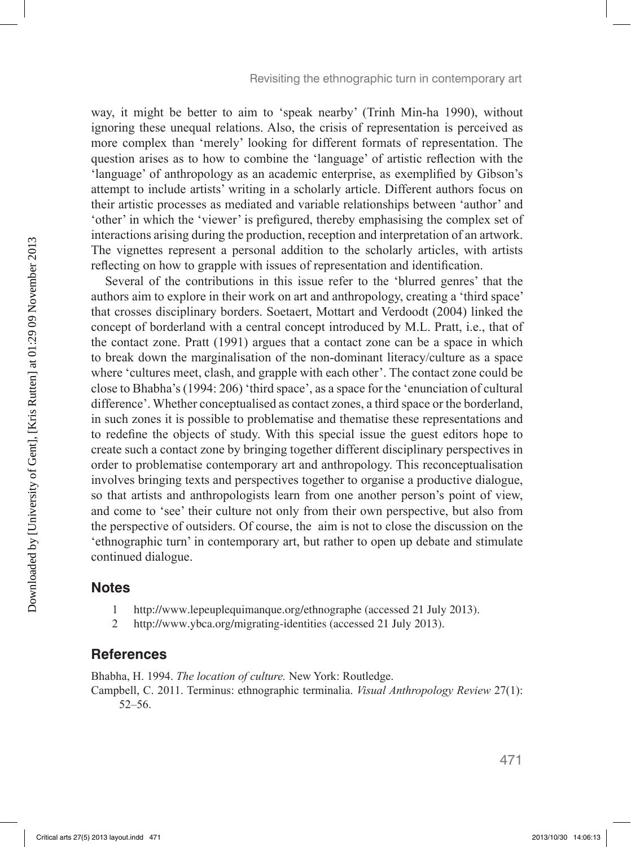way, it might be better to aim to 'speak nearby' (Trinh Min-ha 1990), without ignoring these unequal relations. Also, the crisis of representation is perceived as more complex than 'merely' looking for different formats of representation. The question arises as to how to combine the 'language' of artistic reflection with the 'language' of anthropology as an academic enterprise, as exemplified by Gibson's attempt to include artists' writing in a scholarly article. Different authors focus on their artistic processes as mediated and variable relationships between 'author' and 'other' in which the 'viewer' is prefigured, thereby emphasising the complex set of interactions arising during the production, reception and interpretation of an artwork. The vignettes represent a personal addition to the scholarly articles, with artists reflecting on how to grapple with issues of representation and identification.

Several of the contributions in this issue refer to the 'blurred genres' that the authors aim to explore in their work on art and anthropology, creating a 'third space' that crosses disciplinary borders. Soetaert, Mottart and Verdoodt (2004) linked the concept of borderland with a central concept introduced by M.L. Pratt, i.e., that of the contact zone. Pratt (1991) argues that a contact zone can be a space in which to break down the marginalisation of the non-dominant literacy/culture as a space where 'cultures meet, clash, and grapple with each other'. The contact zone could be close to Bhabha's (1994: 206) 'third space', as a space for the 'enunciation of cultural difference'. Whether conceptualised as contact zones, a third space or the borderland, in such zones it is possible to problematise and thematise these representations and to redefine the objects of study. With this special issue the guest editors hope to create such a contact zone by bringing together different disciplinary perspectives in order to problematise contemporary art and anthropology. This reconceptualisation involves bringing texts and perspectives together to organise a productive dialogue, so that artists and anthropologists learn from one another person's point of view, and come to 'see' their culture not only from their own perspective, but also from the perspective of outsiders. Of course, the aim is not to close the discussion on the 'ethnographic turn' in contemporary art, but rather to open up debate and stimulate continued dialogue.

## **Notes**

- 1 http://www.lepeuplequimanque.org/ethnographe (accessed 21 July 2013).
- 2 http://www.ybca.org/migrating-identities (accessed 21 July 2013).

# **References**

Bhabha, H. 1994. *The location of culture.* New York: Routledge.

Campbell, C. 2011. Terminus: ethnographic terminalia. *Visual Anthropology Review* 27(1): 52–56.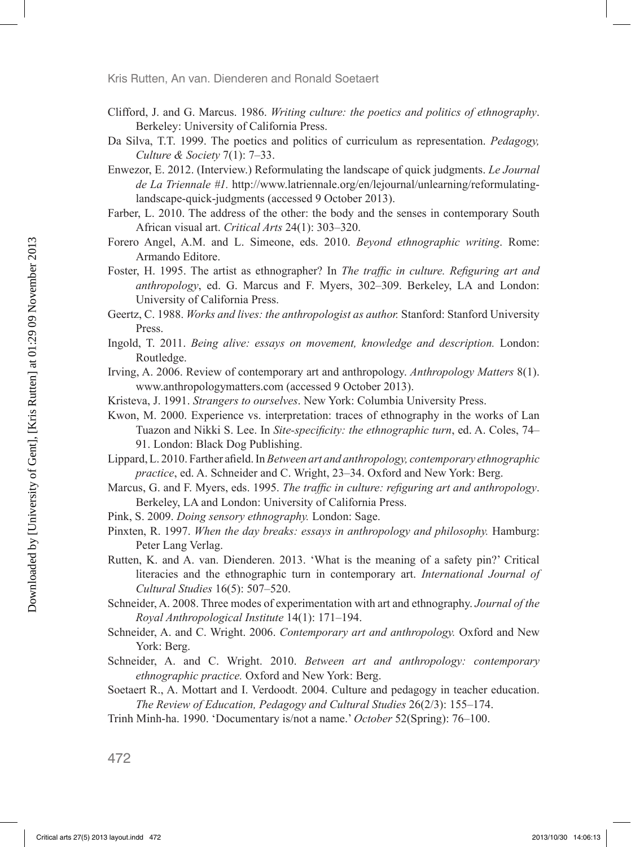- Clifford, J. and G. Marcus. 1986. *Writing culture: the poetics and politics of ethnography*. Berkeley: University of California Press.
- Da Silva, T.T. 1999. The poetics and politics of curriculum as representation. *Pedagogy, Culture & Society* 7(1): 7–33.
- Enwezor, E. 2012. (Interview.) Reformulating the landscape of quick judgments. *Le Journal de La Triennale #1.* http://www.latriennale.org/en/lejournal/unlearning/reformulatinglandscape-quick-judgments (accessed 9 October 2013).
- Farber, L. 2010. The address of the other: the body and the senses in contemporary South African visual art. *Critical Arts* 24(1): 303–320.
- Forero Angel, A.M. and L. Simeone, eds. 2010. *Beyond ethnographic writing*. Rome: Armando Editore.
- Foster, H. 1995. The artist as ethnographer? In *The traffic in culture. Refiguring art and anthropology*, ed. G. Marcus and F. Myers, 302–309. Berkeley, LA and London: University of California Press.
- Geertz, C. 1988. *Works and lives: the anthropologist as author.* Stanford: Stanford University Press.
- Ingold, T. 2011. *Being alive: essays on movement, knowledge and description.* London: Routledge.
- Irving, A. 2006. Review of contemporary art and anthropology. *Anthropology Matters* 8(1). www.anthropologymatters.com (accessed 9 October 2013).
- Kristeva, J. 1991. *Strangers to ourselves*. New York: Columbia University Press.
- Kwon, M. 2000. Experience vs. interpretation: traces of ethnography in the works of Lan Tuazon and Nikki S. Lee. In *Site-specificity: the ethnographic turn*, ed. A. Coles, 74– 91. London: Black Dog Publishing.
- Lippard, L. 2010. Farther afield. In *Between art and anthropology, contemporary ethnographic practice*, ed. A. Schneider and C. Wright, 23–34. Oxford and New York: Berg.
- Marcus, G. and F. Myers, eds. 1995. *The traffic in culture: refiguring art and anthropology*. Berkeley, LA and London: University of California Press.
- Pink, S. 2009. *Doing sensory ethnography.* London: Sage.
- Pinxten, R. 1997. *When the day breaks: essays in anthropology and philosophy.* Hamburg: Peter Lang Verlag.
- Rutten, K. and A. van. Dienderen. 2013. 'What is the meaning of a safety pin?' Critical literacies and the ethnographic turn in contemporary art. *International Journal of Cultural Studies* 16(5): 507–520.
- Schneider, A. 2008. Three modes of experimentation with art and ethnography. *Journal of the Royal Anthropological Institute* 14(1): 171–194.
- Schneider, A. and C. Wright. 2006. *Contemporary art and anthropology.* Oxford and New York: Berg.
- Schneider, A. and C. Wright. 2010. *Between art and anthropology: contemporary ethnographic practice.* Oxford and New York: Berg.
- Soetaert R., A. Mottart and I. Verdoodt. 2004. Culture and pedagogy in teacher education. *The Review of Education, Pedagogy and Cultural Studies* 26(2/3): 155–174.
- Trinh Minh-ha. 1990. 'Documentary is/not a name.' *October* 52(Spring): 76–100.